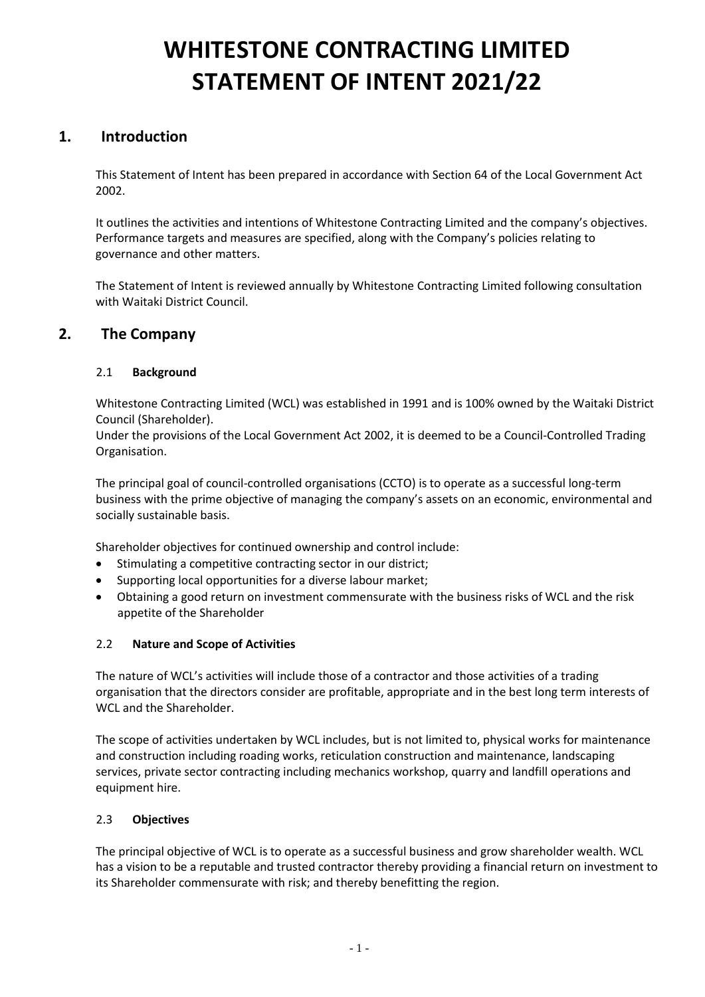# **WHITESTONE CONTRACTING LIMITED STATEMENT OF INTENT 2021/22**

# **1. Introduction**

This Statement of Intent has been prepared in accordance with Section 64 of the Local Government Act 2002.

It outlines the activities and intentions of Whitestone Contracting Limited and the company's objectives. Performance targets and measures are specified, along with the Company's policies relating to governance and other matters.

The Statement of Intent is reviewed annually by Whitestone Contracting Limited following consultation with Waitaki District Council.

# **2. The Company**

# 2.1 **Background**

Whitestone Contracting Limited (WCL) was established in 1991 and is 100% owned by the Waitaki District Council (Shareholder).

Under the provisions of the Local Government Act 2002, it is deemed to be a Council-Controlled Trading Organisation.

The principal goal of council-controlled organisations (CCTO) is to operate as a successful long-term business with the prime objective of managing the company's assets on an economic, environmental and socially sustainable basis.

Shareholder objectives for continued ownership and control include:

- Stimulating a competitive contracting sector in our district;
- Supporting local opportunities for a diverse labour market:
- Obtaining a good return on investment commensurate with the business risks of WCL and the risk appetite of the Shareholder

# 2.2 **Nature and Scope of Activities**

The nature of WCL's activities will include those of a contractor and those activities of a trading organisation that the directors consider are profitable, appropriate and in the best long term interests of WCL and the Shareholder.

The scope of activities undertaken by WCL includes, but is not limited to, physical works for maintenance and construction including roading works, reticulation construction and maintenance, landscaping services, private sector contracting including mechanics workshop, quarry and landfill operations and equipment hire.

# 2.3 **Objectives**

The principal objective of WCL is to operate as a successful business and grow shareholder wealth. WCL has a vision to be a reputable and trusted contractor thereby providing a financial return on investment to its Shareholder commensurate with risk; and thereby benefitting the region.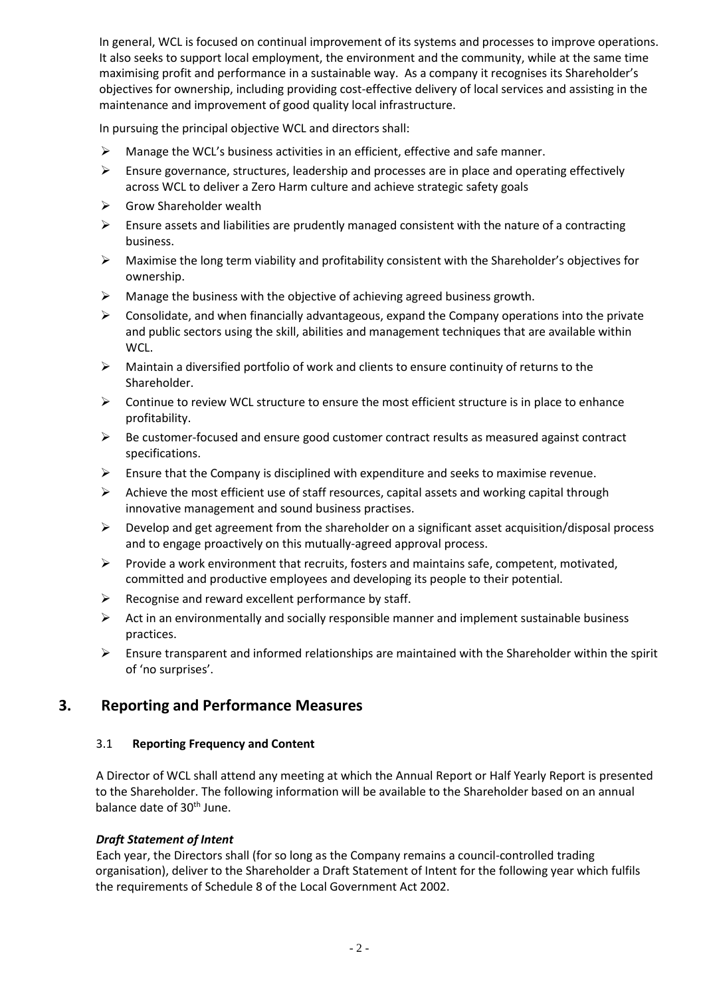In general, WCL is focused on continual improvement of its systems and processes to improve operations. It also seeks to support local employment, the environment and the community, while at the same time maximising profit and performance in a sustainable way. As a company it recognises its Shareholder's objectives for ownership, including providing cost-effective delivery of local services and assisting in the maintenance and improvement of good quality local infrastructure.

In pursuing the principal objective WCL and directors shall:

- $\triangleright$  Manage the WCL's business activities in an efficient, effective and safe manner.
- $\triangleright$  Ensure governance, structures, leadership and processes are in place and operating effectively across WCL to deliver a Zero Harm culture and achieve strategic safety goals
- $\triangleright$  Grow Shareholder wealth
- $\triangleright$  Ensure assets and liabilities are prudently managed consistent with the nature of a contracting business.
- $\triangleright$  Maximise the long term viability and profitability consistent with the Shareholder's objectives for ownership.
- ➢ Manage the business with the objective of achieving agreed business growth.
- $\triangleright$  Consolidate, and when financially advantageous, expand the Company operations into the private and public sectors using the skill, abilities and management techniques that are available within WCL.
- $\triangleright$  Maintain a diversified portfolio of work and clients to ensure continuity of returns to the Shareholder.
- $\triangleright$  Continue to review WCL structure to ensure the most efficient structure is in place to enhance profitability.
- $\triangleright$  Be customer-focused and ensure good customer contract results as measured against contract specifications.
- $\triangleright$  Ensure that the Company is disciplined with expenditure and seeks to maximise revenue.
- $\triangleright$  Achieve the most efficient use of staff resources, capital assets and working capital through innovative management and sound business practises.
- $\triangleright$  Develop and get agreement from the shareholder on a significant asset acquisition/disposal process and to engage proactively on this mutually-agreed approval process.
- ➢ Provide a work environment that recruits, fosters and maintains safe, competent, motivated, committed and productive employees and developing its people to their potential.
- ➢ Recognise and reward excellent performance by staff.
- $\triangleright$  Act in an environmentally and socially responsible manner and implement sustainable business practices.
- $\triangleright$  Ensure transparent and informed relationships are maintained with the Shareholder within the spirit of 'no surprises'.

# **3. Reporting and Performance Measures**

# 3.1 **Reporting Frequency and Content**

A Director of WCL shall attend any meeting at which the Annual Report or Half Yearly Report is presented to the Shareholder. The following information will be available to the Shareholder based on an annual balance date of 30<sup>th</sup> June.

# *Draft Statement of Intent*

Each year, the Directors shall (for so long as the Company remains a council-controlled trading organisation), deliver to the Shareholder a Draft Statement of Intent for the following year which fulfils the requirements of Schedule 8 of the Local Government Act 2002.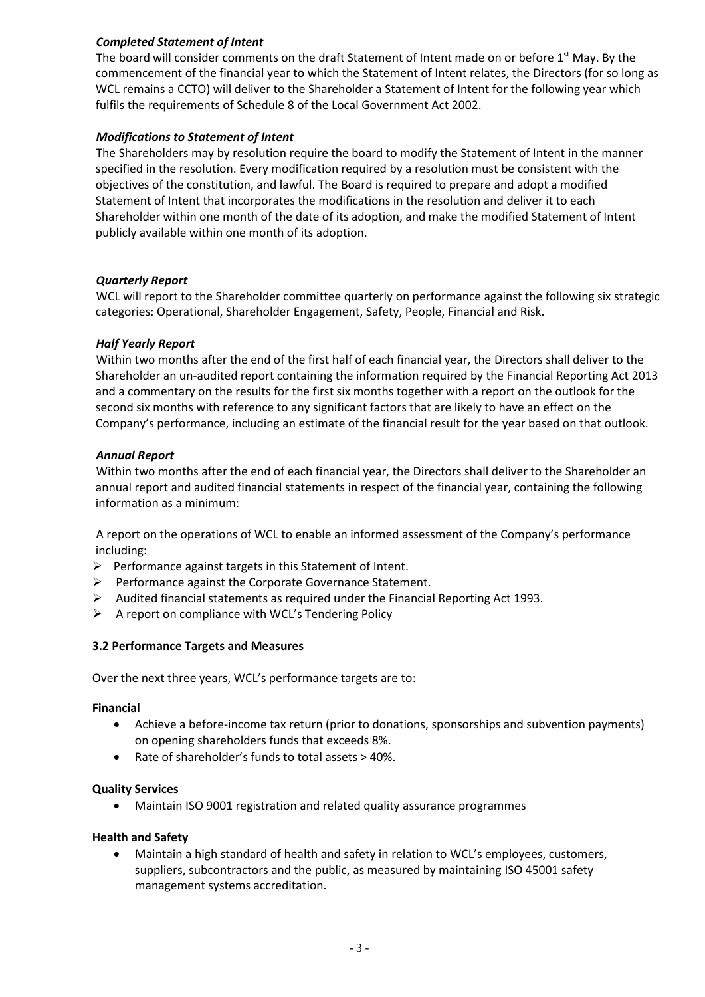## *Completed Statement of Intent*

The board will consider comments on the draft Statement of Intent made on or before 1<sup>st</sup> May. By the commencement of the financial year to which the Statement of Intent relates, the Directors (for so long as WCL remains a CCTO) will deliver to the Shareholder a Statement of Intent for the following year which fulfils the requirements of Schedule 8 of the Local Government Act 2002.

#### *Modifications to Statement of Intent*

The Shareholders may by resolution require the board to modify the Statement of Intent in the manner specified in the resolution. Every modification required by a resolution must be consistent with the objectives of the constitution, and lawful. The Board is required to prepare and adopt a modified Statement of Intent that incorporates the modifications in the resolution and deliver it to each Shareholder within one month of the date of its adoption, and make the modified Statement of Intent publicly available within one month of its adoption.

#### *Quarterly Report*

WCL will report to the Shareholder committee quarterly on performance against the following six strategic categories: Operational, Shareholder Engagement, Safety, People, Financial and Risk.

#### *Half Yearly Report*

Within two months after the end of the first half of each financial year, the Directors shall deliver to the Shareholder an un-audited report containing the information required by the Financial Reporting Act 2013 and a commentary on the results for the first six months together with a report on the outlook for the second six months with reference to any significant factors that are likely to have an effect on the Company's performance, including an estimate of the financial result for the year based on that outlook.

#### *Annual Report*

Within two months after the end of each financial year, the Directors shall deliver to the Shareholder an annual report and audited financial statements in respect of the financial year, containing the following information as a minimum:

A report on the operations of WCL to enable an informed assessment of the Company's performance including:

- ➢ Performance against targets in this Statement of Intent.
- ➢ Performance against the Corporate Governance Statement.
- $\triangleright$  Audited financial statements as required under the Financial Reporting Act 1993.
- ➢ A report on compliance with WCL's Tendering Policy

#### **3.2 Performance Targets and Measures**

Over the next three years, WCL's performance targets are to:

#### **Financial**

- Achieve a before-income tax return (prior to donations, sponsorships and subvention payments) on opening shareholders funds that exceeds 8%.
- Rate of shareholder's funds to total assets > 40%.

#### **Quality Services**

• Maintain ISO 9001 registration and related quality assurance programmes

#### **Health and Safety**

• Maintain a high standard of health and safety in relation to WCL's employees, customers, suppliers, subcontractors and the public, as measured by maintaining ISO 45001 safety management systems accreditation.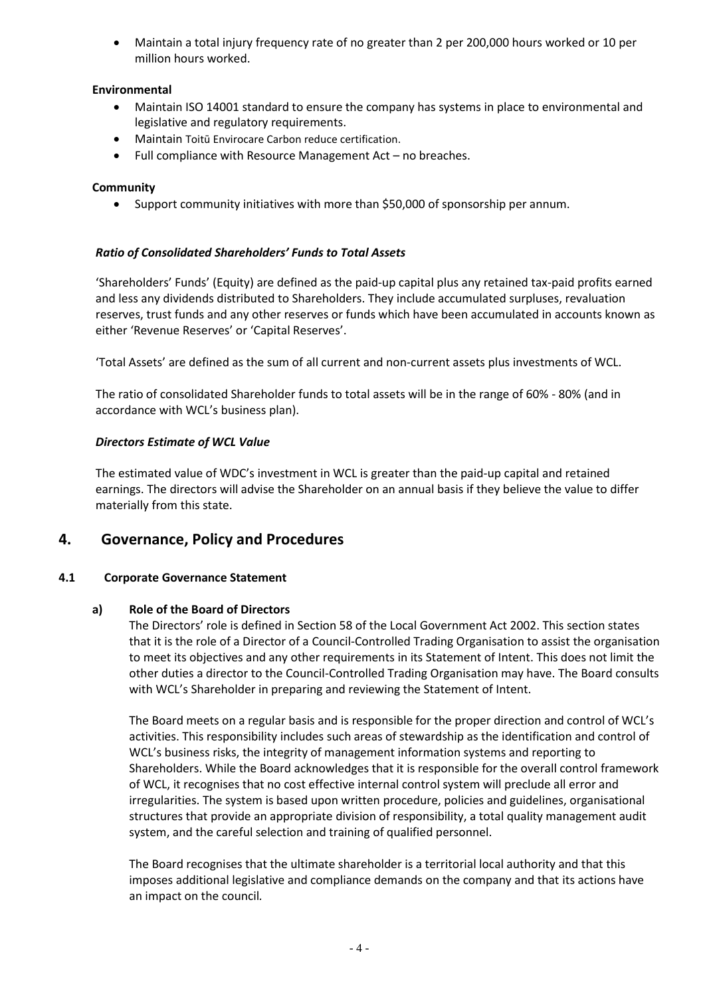• Maintain a total injury frequency rate of no greater than 2 per 200,000 hours worked or 10 per million hours worked.

# **Environmental**

- Maintain ISO 14001 standard to ensure the company has systems in place to environmental and legislative and regulatory requirements.
- Maintain Toitū Envirocare Carbon reduce certification.
- Full compliance with Resource Management Act no breaches.

# **Community**

• Support community initiatives with more than \$50,000 of sponsorship per annum.

# *Ratio of Consolidated Shareholders' Funds to Total Assets*

'Shareholders' Funds' (Equity) are defined as the paid-up capital plus any retained tax-paid profits earned and less any dividends distributed to Shareholders. They include accumulated surpluses, revaluation reserves, trust funds and any other reserves or funds which have been accumulated in accounts known as either 'Revenue Reserves' or 'Capital Reserves'.

'Total Assets' are defined as the sum of all current and non-current assets plus investments of WCL.

The ratio of consolidated Shareholder funds to total assets will be in the range of 60% - 80% (and in accordance with WCL's business plan).

# *Directors Estimate of WCL Value*

The estimated value of WDC's investment in WCL is greater than the paid-up capital and retained earnings. The directors will advise the Shareholder on an annual basis if they believe the value to differ materially from this state.

# **4. Governance, Policy and Procedures**

# **4.1 Corporate Governance Statement**

# **a) Role of the Board of Directors**

The Directors' role is defined in Section 58 of the Local Government Act 2002. This section states that it is the role of a Director of a Council-Controlled Trading Organisation to assist the organisation to meet its objectives and any other requirements in its Statement of Intent. This does not limit the other duties a director to the Council-Controlled Trading Organisation may have. The Board consults with WCL's Shareholder in preparing and reviewing the Statement of Intent.

The Board meets on a regular basis and is responsible for the proper direction and control of WCL's activities. This responsibility includes such areas of stewardship as the identification and control of WCL's business risks, the integrity of management information systems and reporting to Shareholders. While the Board acknowledges that it is responsible for the overall control framework of WCL, it recognises that no cost effective internal control system will preclude all error and irregularities. The system is based upon written procedure, policies and guidelines, organisational structures that provide an appropriate division of responsibility, a total quality management audit system, and the careful selection and training of qualified personnel.

The Board recognises that the ultimate shareholder is a territorial local authority and that this imposes additional legislative and compliance demands on the company and that its actions have an impact on the council*.*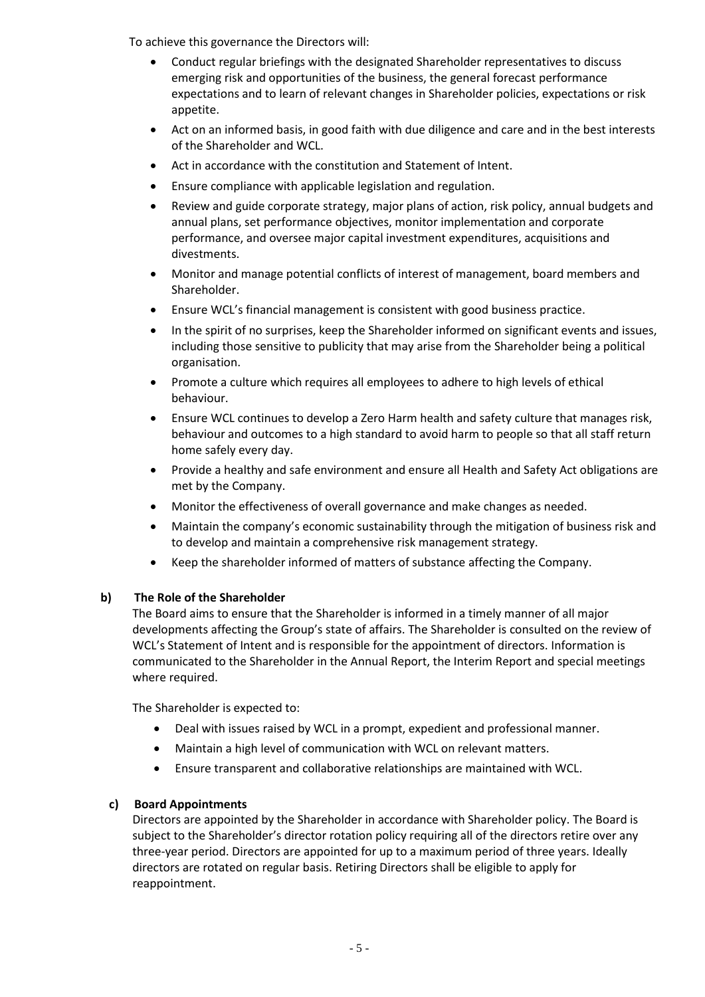To achieve this governance the Directors will:

- Conduct regular briefings with the designated Shareholder representatives to discuss emerging risk and opportunities of the business, the general forecast performance expectations and to learn of relevant changes in Shareholder policies, expectations or risk appetite.
- Act on an informed basis, in good faith with due diligence and care and in the best interests of the Shareholder and WCL.
- Act in accordance with the constitution and Statement of Intent.
- Ensure compliance with applicable legislation and regulation.
- Review and guide corporate strategy, major plans of action, risk policy, annual budgets and annual plans, set performance objectives, monitor implementation and corporate performance, and oversee major capital investment expenditures, acquisitions and divestments.
- Monitor and manage potential conflicts of interest of management, board members and Shareholder.
- Ensure WCL's financial management is consistent with good business practice.
- In the spirit of no surprises, keep the Shareholder informed on significant events and issues, including those sensitive to publicity that may arise from the Shareholder being a political organisation.
- Promote a culture which requires all employees to adhere to high levels of ethical behaviour.
- Ensure WCL continues to develop a Zero Harm health and safety culture that manages risk, behaviour and outcomes to a high standard to avoid harm to people so that all staff return home safely every day.
- Provide a healthy and safe environment and ensure all Health and Safety Act obligations are met by the Company.
- Monitor the effectiveness of overall governance and make changes as needed.
- Maintain the company's economic sustainability through the mitigation of business risk and to develop and maintain a comprehensive risk management strategy.
- Keep the shareholder informed of matters of substance affecting the Company.

# **b) The Role of the Shareholder**

The Board aims to ensure that the Shareholder is informed in a timely manner of all major developments affecting the Group's state of affairs. The Shareholder is consulted on the review of WCL's Statement of Intent and is responsible for the appointment of directors. Information is communicated to the Shareholder in the Annual Report, the Interim Report and special meetings where required.

The Shareholder is expected to:

- Deal with issues raised by WCL in a prompt, expedient and professional manner.
- Maintain a high level of communication with WCL on relevant matters.
- Ensure transparent and collaborative relationships are maintained with WCL.

# **c) Board Appointments**

Directors are appointed by the Shareholder in accordance with Shareholder policy. The Board is subject to the Shareholder's director rotation policy requiring all of the directors retire over any three-year period. Directors are appointed for up to a maximum period of three years. Ideally directors are rotated on regular basis. Retiring Directors shall be eligible to apply for reappointment.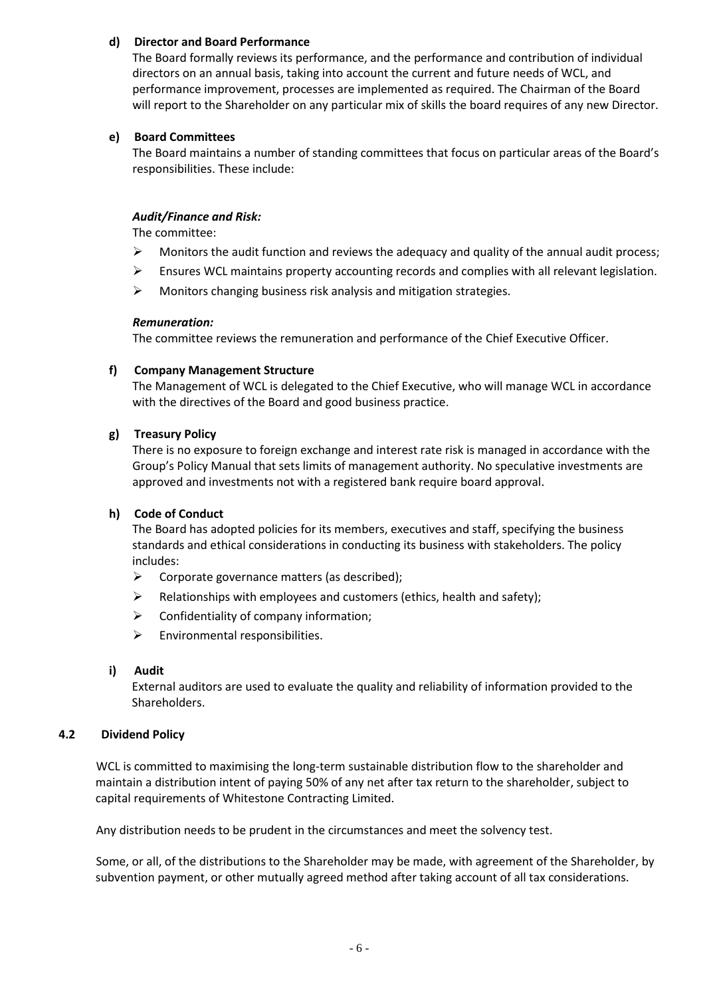# **d) Director and Board Performance**

The Board formally reviews its performance, and the performance and contribution of individual directors on an annual basis, taking into account the current and future needs of WCL, and performance improvement, processes are implemented as required. The Chairman of the Board will report to the Shareholder on any particular mix of skills the board requires of any new Director.

# **e) Board Committees**

The Board maintains a number of standing committees that focus on particular areas of the Board's responsibilities. These include:

## *Audit/Finance and Risk:*

The committee:

- $\triangleright$  Monitors the audit function and reviews the adequacy and quality of the annual audit process;
- ➢ Ensures WCL maintains property accounting records and complies with all relevant legislation.
- ➢ Monitors changing business risk analysis and mitigation strategies.

#### *Remuneration:*

The committee reviews the remuneration and performance of the Chief Executive Officer.

#### **f) Company Management Structure**

The Management of WCL is delegated to the Chief Executive, who will manage WCL in accordance with the directives of the Board and good business practice.

#### **g) Treasury Policy**

There is no exposure to foreign exchange and interest rate risk is managed in accordance with the Group's Policy Manual that sets limits of management authority. No speculative investments are approved and investments not with a registered bank require board approval.

#### **h) Code of Conduct**

The Board has adopted policies for its members, executives and staff, specifying the business standards and ethical considerations in conducting its business with stakeholders. The policy includes:

- $\triangleright$  Corporate governance matters (as described);
- ➢ Relationships with employees and customers (ethics, health and safety);
- ➢ Confidentiality of company information;
- $\triangleright$  Environmental responsibilities.

#### **i) Audit**

External auditors are used to evaluate the quality and reliability of information provided to the Shareholders.

#### **4.2 Dividend Policy**

WCL is committed to maximising the long-term sustainable distribution flow to the shareholder and maintain a distribution intent of paying 50% of any net after tax return to the shareholder, subject to capital requirements of Whitestone Contracting Limited.

Any distribution needs to be prudent in the circumstances and meet the solvency test.

Some, or all, of the distributions to the Shareholder may be made, with agreement of the Shareholder, by subvention payment, or other mutually agreed method after taking account of all tax considerations.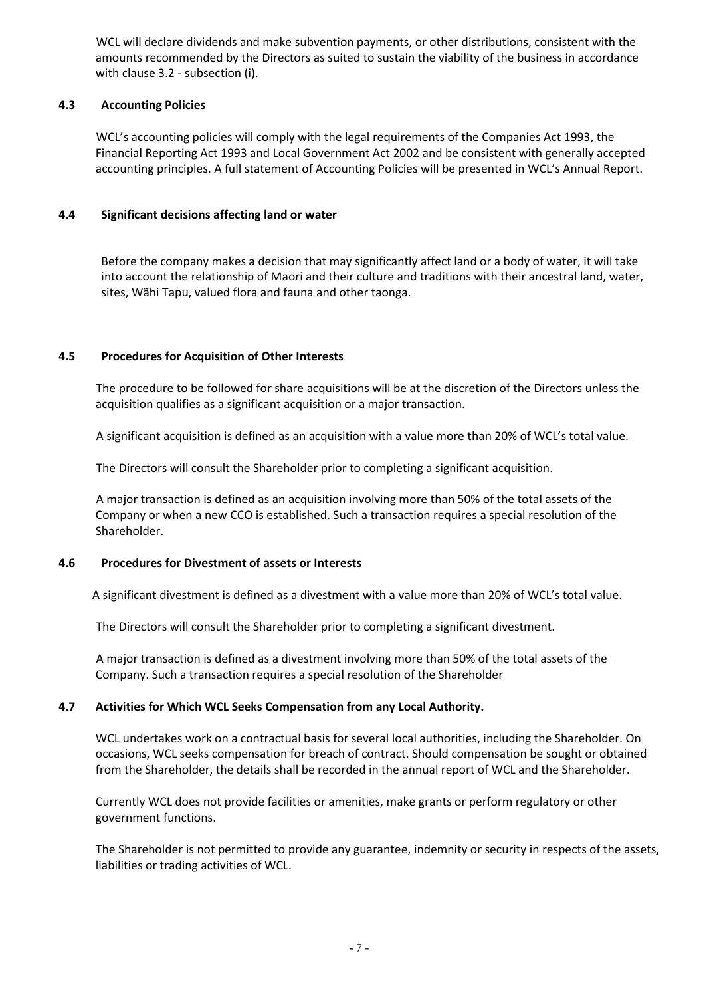WCL will declare dividends and make subvention payments, or other distributions, consistent with the amounts recommended by the Directors as suited to sustain the viability of the business in accordance with clause 3.2 - subsection (i).

### **4.3 Accounting Policies**

WCL's accounting policies will comply with the legal requirements of the Companies Act 1993, the Financial Reporting Act 1993 and Local Government Act 2002 and be consistent with generally accepted accounting principles. A full statement of Accounting Policies will be presented in WCL's Annual Report.

## **4.4 Significant decisions affecting land or water**

Before the company makes a decision that may significantly affect land or a body of water, it will take into account the relationship of Maori and their culture and traditions with their ancestral land, water, sites, Wãhi Tapu, valued flora and fauna and other taonga.

#### **4.5 Procedures for Acquisition of Other Interests**

The procedure to be followed for share acquisitions will be at the discretion of the Directors unless the acquisition qualifies as a significant acquisition or a major transaction.

A significant acquisition is defined as an acquisition with a value more than 20% of WCL's total value.

The Directors will consult the Shareholder prior to completing a significant acquisition.

A major transaction is defined as an acquisition involving more than 50% of the total assets of the Company or when a new CCO is established. Such a transaction requires a special resolution of the Shareholder.

#### **4.6 Procedures for Divestment of assets or Interests**

A significant divestment is defined as a divestment with a value more than 20% of WCL's total value.

The Directors will consult the Shareholder prior to completing a significant divestment.

A major transaction is defined as a divestment involving more than 50% of the total assets of the Company. Such a transaction requires a special resolution of the Shareholder

# **4.7 Activities for Which WCL Seeks Compensation from any Local Authority.**

WCL undertakes work on a contractual basis for several local authorities, including the Shareholder. On occasions, WCL seeks compensation for breach of contract. Should compensation be sought or obtained from the Shareholder, the details shall be recorded in the annual report of WCL and the Shareholder.

Currently WCL does not provide facilities or amenities, make grants or perform regulatory or other government functions.

The Shareholder is not permitted to provide any guarantee, indemnity or security in respects of the assets, liabilities or trading activities of WCL.